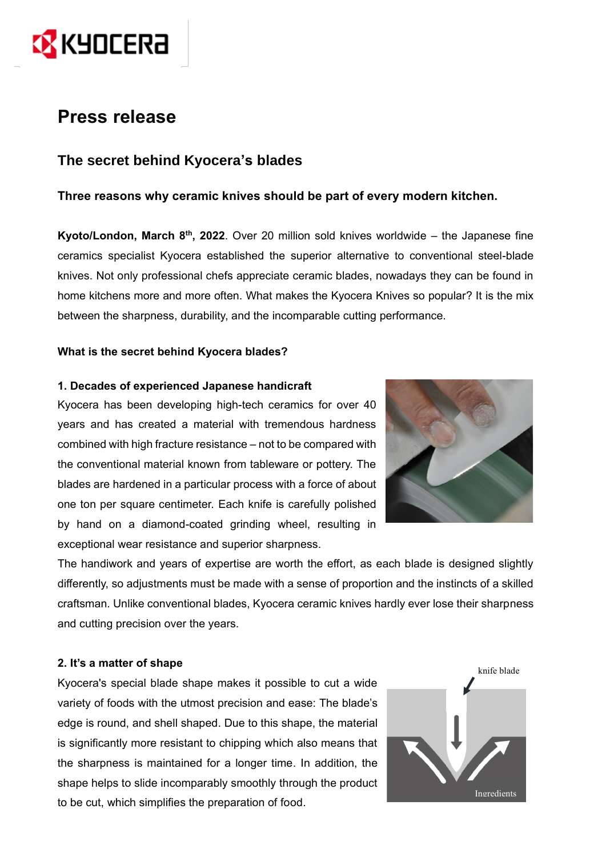

# **Press release**

# **The secret behind Kyocera's blades**

# **Three reasons why ceramic knives should be part of every modern kitchen.**

Kyoto/London, March 8<sup>th</sup>, 2022. Over 20 million sold knives worldwide – the Japanese fine ceramics specialist Kyocera established the superior alternative to conventional steel-blade knives. Not only professional chefs appreciate ceramic blades, nowadays they can be found in home kitchens more and more often. What makes the Kyocera Knives so popular? It is the mix between the sharpness, durability, and the incomparable cutting performance.

## **What is the secret behind Kyocera blades?**

#### **1. Decades of experienced Japanese handicraft**

Kyocera has been developing high-tech ceramics for over 40 years and has created a material with tremendous hardness combined with high fracture resistance – not to be compared with the conventional material known from tableware or pottery. The blades are hardened in a particular process with a force of about one ton per square centimeter. Each knife is carefully polished by hand on a diamond-coated grinding wheel, resulting in exceptional wear resistance and superior sharpness.



The handiwork and years of expertise are worth the effort, as each blade is designed slightly differently, so adjustments must be made with a sense of proportion and the instincts of a skilled craftsman. Unlike conventional blades, Kyocera ceramic knives hardly ever lose their sharpness and cutting precision over the years.

#### **2. It's a matter of shape**

Kyocera's special blade shape makes it possible to cut a wide variety of foods with the utmost precision and ease: The blade's edge is round, and shell shaped. Due to this shape, the material is significantly more resistant to chipping which also means that the sharpness is maintained for a longer time. In addition, the shape helps to slide incomparably smoothly through the product to be cut, which simplifies the preparation of food.